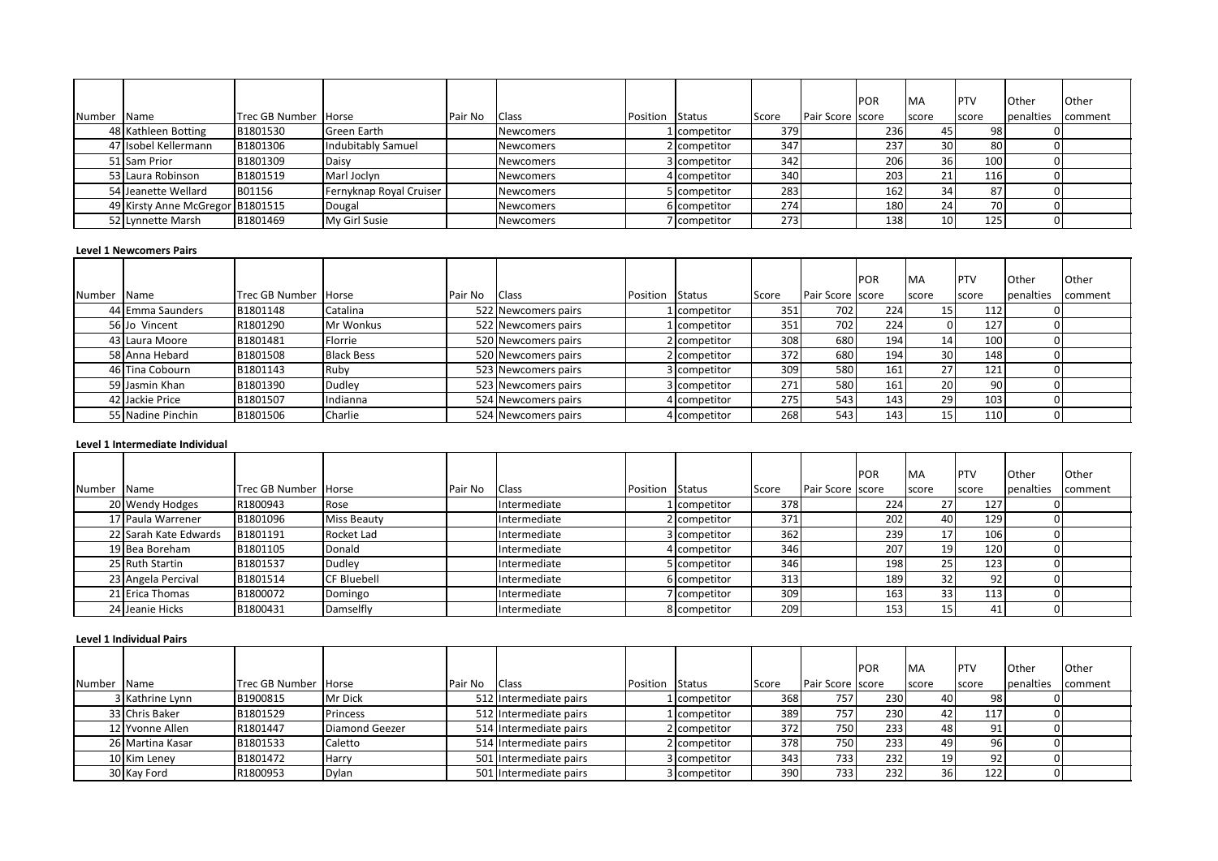|             |                                  |                        |                         |         |                  |          |               |              |                  | POR | <b>IMA</b> | <b>PTV</b> | <b>Other</b> | <b>Other</b> |
|-------------|----------------------------------|------------------------|-------------------------|---------|------------------|----------|---------------|--------------|------------------|-----|------------|------------|--------------|--------------|
|             |                                  |                        |                         |         |                  |          |               |              |                  |     |            |            |              |              |
| Number Name |                                  | Trec GB Number   Horse |                         | Pair No | <b>Class</b>     | Position | <b>Status</b> | <b>Score</b> | Pair Score score |     | score      | score      | penalties    | comment      |
|             | 48 Kathleen Botting              | B1801530               | Green Earth             |         | Newcomers        |          | 1 competitor  | 379          |                  | 236 | 45         | 981        |              |              |
|             | 47 Isobel Kellermann             | B1801306               | Indubitably Samuel      |         | Newcomers        |          | 2 competitor  | 347          |                  | 237 | 30         | 80         |              |              |
|             | 51 Sam Prior                     | B1801309               | Daisy                   |         | Newcomers        |          | 3 competitor  | 342          |                  | 206 | 36         | 100        |              |              |
|             | 53 Laura Robinson                | B1801519               | Marl Joclyn             |         | Newcomers        |          | 4 competitor  | 340          |                  | 203 | 21         | 116        |              |              |
|             | 54 Jeanette Wellard              | B01156                 | Fernyknap Royal Cruiser |         | <b>Newcomers</b> |          | 5 competitor  | 283          |                  | 162 | 34         |            |              |              |
|             | 49 Kirsty Anne McGregor B1801515 |                        | Dougal                  |         | Newcomers        |          | 6 competitor  | 274          |                  | 180 | 24         | 70         |              |              |
|             | 52 Lynnette Marsh                | B1801469               | My Girl Susie           |         | Newcomers        |          | 7 competitor  | 273          |                  | 138 | 10         | 125        |              |              |

#### **Level 1 Newcomers Pairs**

|        |                   |                      |                   |         |                     |          |              |       |                  | <b>POR</b>       | <b>IMA</b>      | <b>IPTV</b>      | <b>Other</b> | Other   |
|--------|-------------------|----------------------|-------------------|---------|---------------------|----------|--------------|-------|------------------|------------------|-----------------|------------------|--------------|---------|
| Number | Name              | Trec GB Number Horse |                   | Pair No | <b>Class</b>        | Position | Status       | Score | Pair Score score |                  | score           | score            | penalties    | comment |
|        | 44 Emma Saunders  | B1801148             | Catalina          |         | 522 Newcomers pairs |          | 1 competitor | 351   | 702              | 224              |                 | 112 L            |              |         |
|        | 56 Jo Vincent     | R1801290             | Mr Wonkus         |         | 522 Newcomers pairs |          | 1 competitor | 351   | 702              | 224              |                 | 127              |              |         |
|        | 43 Laura Moore    | B1801481             | Florrie           |         | 520 Newcomers pairs |          | 2 competitor | 308   | 680              | 194              | 14              | 100              |              |         |
|        | 58 Anna Hebard    | B1801508             | <b>Black Bess</b> |         | 520 Newcomers pairs |          | 2 competitor | 372   | 680              | 194              | 30 <sup>1</sup> | 148              |              |         |
|        | 46 Tina Cobourn   | B1801143             | Ruby              |         | 523 Newcomers pairs |          | 3 competitor | 309   | 580              | 161              |                 | 121              |              |         |
|        | 59 Jasmin Khan    | B1801390             | Dudley            |         | 523 Newcomers pairs |          | 3 competitor | 271   | 580              | 161 <sub>1</sub> | <b>20</b>       | 90 l             |              |         |
|        | 42 Jackie Price   | B1801507             | Indianna          |         | 524 Newcomers pairs |          | 4 competitor | 275   | 543              | 143              | <b>29</b>       | 103 <sub>l</sub> |              |         |
|        | 55 Nadine Pinchin | B1801506             | Charlie           |         | 524 Newcomers pairs |          | 4 competitor | 268   | 543              | 143              |                 | 110              |              |         |

## **Level 1 Intermediate Individual**

|        |                       |                      |                    |         |              |                 |              |       |                   | <b>POR</b> | <b>MA</b>       | PTV   | Other     | Other   |
|--------|-----------------------|----------------------|--------------------|---------|--------------|-----------------|--------------|-------|-------------------|------------|-----------------|-------|-----------|---------|
| Number | Name                  | Trec GB Number Horse |                    | Pair No | <b>Class</b> | Position Status |              | Score | Pair Score Iscore |            | score           | score | penalties | comment |
|        | 20 Wendy Hodges       | R1800943             | Rose               |         | Intermediate |                 | 1 competitor | 378   |                   | 224        | $\mathcal{L}I$  | 127   |           |         |
|        | 17 Paula Warrener     | B1801096             | <b>Miss Beauty</b> |         | Intermediate |                 | 2 competitor | 371   |                   | 202        | 40              | 129   |           |         |
|        | 22 Sarah Kate Edwards | B1801191             | Rocket Lad         |         | Intermediate |                 | 3 competitor | 362   |                   | 239        |                 | 106   |           |         |
|        | 19 Bea Boreham        | B1801105             | Donald             |         | Intermediate |                 | 4 competitor | 346   |                   | 207        | 19              | 120   |           |         |
|        | 25 Ruth Startin       | B1801537             | Dudley             |         | Intermediate |                 | 5 competitor | 346   |                   | 198        | 25              | 123   |           |         |
|        | 23 Angela Percival    | B1801514             | CF Bluebell        |         | Intermediate |                 | 6 competitor | 313   |                   | 189        | 32 <sub>1</sub> | 92    |           |         |
|        | 21 Erica Thomas       | B1800072             | Domingo            |         | Intermediate |                 | 7 competitor | 309   |                   | 163        | 33              | 113   |           |         |
|        | 24 Jeanie Hicks       | B1800431             | Damselfly          |         | Intermediate |                 | 8 competitor | 209   |                   | 153        |                 |       |           |         |

# **Level 1 Individual Pairs**

|        |                  |                      |                 |               |                        |          |               |       |                   | <b>POR</b> | <b>MA</b> | <b>IPTV</b> | Other     | Other   |
|--------|------------------|----------------------|-----------------|---------------|------------------------|----------|---------------|-------|-------------------|------------|-----------|-------------|-----------|---------|
| Number | <b>Name</b>      | Trec GB Number Horse |                 | Pair No Class |                        | Position | <b>Status</b> | Score | Pair Score Iscore |            | score     | score       | penalties | comment |
|        | 3 Kathrine Lynn  | B1900815             | Mr Dick         |               | 512 Intermediate pairs |          | 1 competitor  | 368   | 757               | 230        | 40        | 98 I        |           |         |
|        | 33 Chris Baker   | B1801529             | <b>Princess</b> |               | 512 Intermediate pairs |          | 1 competitor  | 389   | 757               | 230        | 42        | 117         |           |         |
|        | 12 Yvonne Allen  | R1801447             | Diamond Geezer  |               | 514 Intermediate pairs |          | 2 competitor  | 372   | 750               | 233        | 48        |             |           |         |
|        | 26 Martina Kasar | B1801533             | Caletto         |               | 514 Intermediate pairs |          | 2 competitor  | 378   | 750               | 233        | 49        | 96 I        |           |         |
|        | 10 Kim Lenev     | B1801472             | Harry           |               | 501 Intermediate pairs |          | 3 competitor  | 343   | 733               | 232        | 19        |             |           |         |
|        | 30 Kay Ford      | R1800953             | Dylan           |               | 501 Intermediate pairs |          | 3 competitor  | 390   | 733               | 2321       | <b>36</b> | 122         |           |         |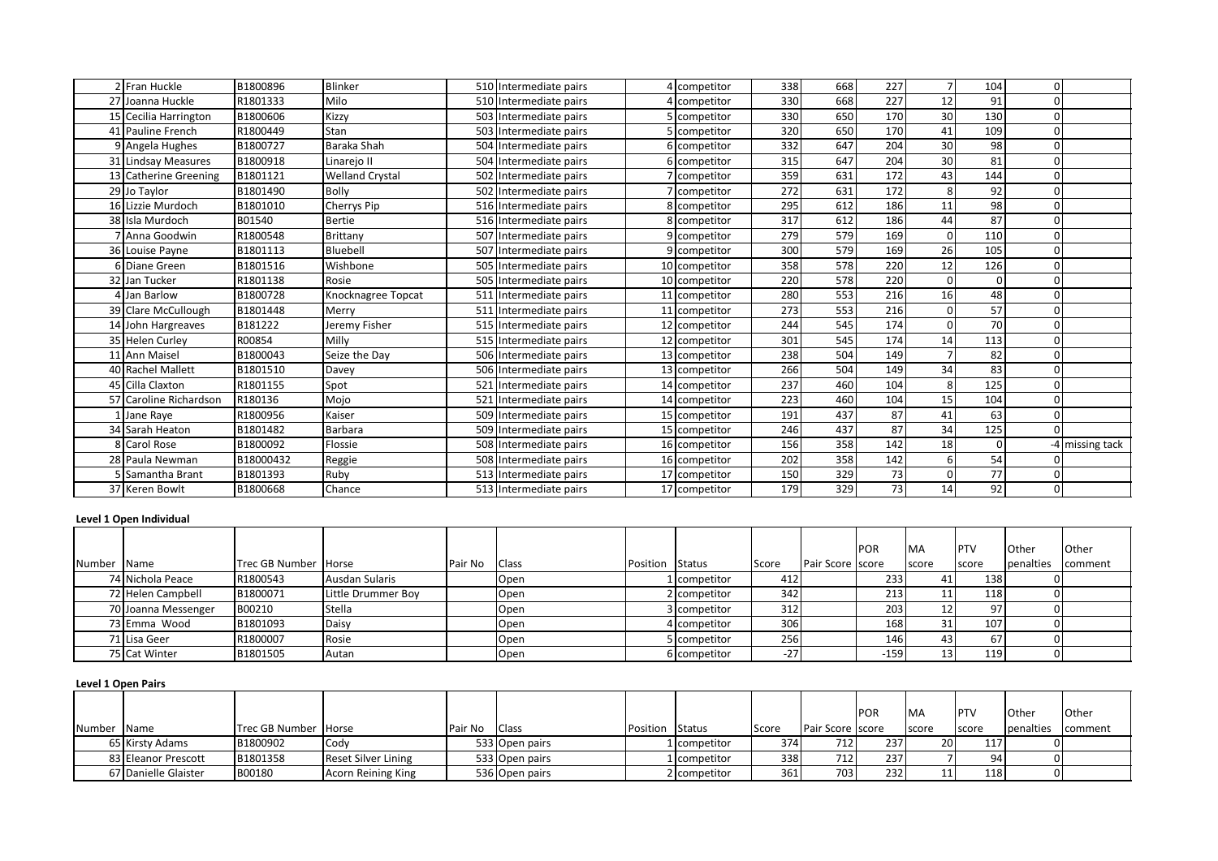|   | 2 Fran Huckle          | B1800896  | <b>Blinker</b>         | 510 Intermediate pairs | 4 competitor  | 338 | 668 | 227 |    | 104 | $\overline{0}$ |                |
|---|------------------------|-----------|------------------------|------------------------|---------------|-----|-----|-----|----|-----|----------------|----------------|
|   | 27 Joanna Huckle       | R1801333  | Milo                   | 510 Intermediate pairs | competitor    | 330 | 668 | 227 | 12 | 91  |                |                |
|   | 15 Cecilia Harrington  | B1800606  | Kizzy                  | 503 Intermediate pairs | competitor    | 330 | 650 | 170 | 30 | 130 |                |                |
|   | 41 Pauline French      | R1800449  | Stan                   | 503 Intermediate pairs | competitor    | 320 | 650 | 170 | 41 | 109 |                |                |
|   | 9 Angela Hughes        | B1800727  | Baraka Shah            | 504 Intermediate pairs | 6 competitor  | 332 | 647 | 204 | 30 | 98  | $\Omega$       |                |
|   | 31 Lindsay Measures    | B1800918  | Linarejo II            | 504 Intermediate pairs | 6 competitor  | 315 | 647 | 204 | 30 | 81  |                |                |
|   | 13 Catherine Greening  | B1801121  | <b>Welland Crystal</b> | 502 Intermediate pairs | competitor    | 359 | 631 | 172 | 43 | 144 |                |                |
|   | 29 Jo Taylor           | B1801490  | <b>Bolly</b>           | 502 Intermediate pairs | competitor    | 272 | 631 | 172 |    | 92  | $\Omega$       |                |
|   | 16 Lizzie Murdoch      | B1801010  | Cherrys Pip            | 516 Intermediate pairs | 8 competitor  | 295 | 612 | 186 | 11 | 98  |                |                |
|   | 38 Isla Murdoch        | B01540    | <b>Bertie</b>          | 516 Intermediate pairs | 8 competitor  | 317 | 612 | 186 | 44 | 87  |                |                |
|   | 7 Anna Goodwin         | R1800548  | Brittany               | 507 Intermediate pairs | competitor    | 279 | 579 | 169 |    | 110 | U              |                |
|   | 36 Louise Payne        | B1801113  | Bluebell               | 507 Intermediate pairs | 9 competitor  | 300 | 579 | 169 | 26 | 105 |                |                |
|   | 6 Diane Green          | B1801516  | Wishbone               | 505 Intermediate pairs | 10 competitor | 358 | 578 | 220 | 12 | 126 |                |                |
|   | 32 Jan Tucker          | R1801138  | Rosie                  | 505 Intermediate pairs | 10 competitor | 220 | 578 | 220 |    |     |                |                |
| Δ | Jan Barlow             | B1800728  | Knocknagree Topcat     | 511 Intermediate pairs | 11 competitor | 280 | 553 | 216 | 16 | 48  | 0              |                |
|   | 39 Clare McCullough    | B1801448  | Merry                  | 511 Intermediate pairs | 11 competitor | 273 | 553 | 216 |    | 57  |                |                |
|   | 14 John Hargreaves     | B181222   | Jeremy Fisher          | 515 Intermediate pairs | 12 competitor | 244 | 545 | 174 |    | 70  |                |                |
|   | 35 Helen Curley        | R00854    | Milly                  | 515 Intermediate pairs | 12 competitor | 301 | 545 | 174 | 14 | 113 | 0              |                |
|   | 11 Ann Maisel          | B1800043  | Seize the Day          | 506 Intermediate pairs | 13 competitor | 238 | 504 | 149 |    | 82  |                |                |
|   | 40 Rachel Mallett      | B1801510  | Davey                  | 506 Intermediate pairs | 13 competitor | 266 | 504 | 149 | 34 | 83  |                |                |
|   | 45 Cilla Claxton       | R1801155  | Spot                   | 521 Intermediate pairs | 14 competitor | 237 | 460 | 104 |    | 125 | 0              |                |
|   | 57 Caroline Richardson | R180136   | Mojo                   | 521 Intermediate pairs | 14 competitor | 223 | 460 | 104 | 15 | 104 |                |                |
|   | Jane Raye              | R1800956  | Kaiser                 | 509 Intermediate pairs | 15 competitor | 191 | 437 | 87  | 41 | 63  |                |                |
|   | 34 Sarah Heaton        | B1801482  | Barbara                | 509 Intermediate pairs | 15 competitor | 246 | 437 | 87  | 34 | 125 |                |                |
|   | 8 Carol Rose           | B1800092  | Flossie                | 508 Intermediate pairs | 16 competitor | 156 | 358 | 142 | 18 |     |                | 4 missing tack |
|   | 28 Paula Newman        | B18000432 | Reggie                 | 508 Intermediate pairs | 16 competitor | 202 | 358 | 142 |    | 54  |                |                |
|   | 5 Samantha Brant       | B1801393  | Ruby                   | 513 Intermediate pairs | 17 competitor | 150 | 329 | 73  |    | 77  | $\overline{0}$ |                |
|   | 37 Keren Bowlt         | B1800668  | Chance                 | 513 Intermediate pairs | 17 competitor | 179 | 329 | 73  | 14 | 92  | $\Omega$       |                |

## **Level 1 Open Individual**

|             |                     |                      |                    |         |              |                 |              |       |                   | <b>POR</b> | <b>IMA</b> | <b>PTV</b>       | <b>Other</b> | Other   |
|-------------|---------------------|----------------------|--------------------|---------|--------------|-----------------|--------------|-------|-------------------|------------|------------|------------------|--------------|---------|
| Number Name |                     | Trec GB Number Horse |                    | Pair No | <b>Class</b> | Position Status |              | Score | Pair Score Iscore |            | score      | score            | penalties    | comment |
|             | 74 Nichola Peace    | R1800543             | Ausdan Sularis     |         | Open         |                 | 1 competitor | 412   |                   | 2331       |            | 138 <sup>I</sup> |              |         |
|             | 72 Helen Campbell   | B1800071             | Little Drummer Boy |         | Open         |                 | 2 competitor | 342   |                   | 213        |            | 118              |              |         |
|             | 70 Joanna Messenger | B00210               | Stella             |         | Open         |                 | 3 competitor | 312   |                   | 2031       |            |                  |              |         |
|             | 73 Emma Wood        | B1801093             | Daisy              |         | Open         |                 | 4 competitor | 306   |                   | 168        | 31         | 107              |              |         |
|             | 71 Lisa Geer        | R1800007             | Rosie              |         | Open         |                 | 5 competitor | 256   |                   | 146        |            |                  |              |         |
|             | 75 Cat Winter       | B1801505             | Autan              |         | Open         |                 | 6 competitor | $-27$ |                   | $-159$     | 13         | 119              |              |         |

### **Level 1 Open Pairs**

|             |                      |                             |                            |                      |                |          |              |              |                          | <b>POR</b> | <b>MA</b> | <b>IPTV</b> | Other     | Other   |
|-------------|----------------------|-----------------------------|----------------------------|----------------------|----------------|----------|--------------|--------------|--------------------------|------------|-----------|-------------|-----------|---------|
| Number Name |                      | <b>Trec GB Number Horse</b> |                            | <b>Pair No Class</b> |                | Position | Status       | <b>Score</b> | <b>Pair Score Iscore</b> |            | score     | score       | penalties | comment |
|             | 65 Kirsty Adams      | B1800902                    | Cody                       |                      | 533 Open pairs |          | 1 competitor | 374          | 712                      | 2371       | 20 I      |             |           |         |
|             | 83 Eleanor Prescott  | B1801358                    | <b>Reset Silver Lining</b> |                      | 533 Open pairs |          | 1 competitor | 338          | 712                      | 237        |           |             |           |         |
|             | 67 Danielle Glaister | <b>B00180</b>               | <b>Acorn Reining King</b>  |                      | 536 Open pairs |          | 2 competitor | 361          | 703                      | 232        |           | 118         |           |         |